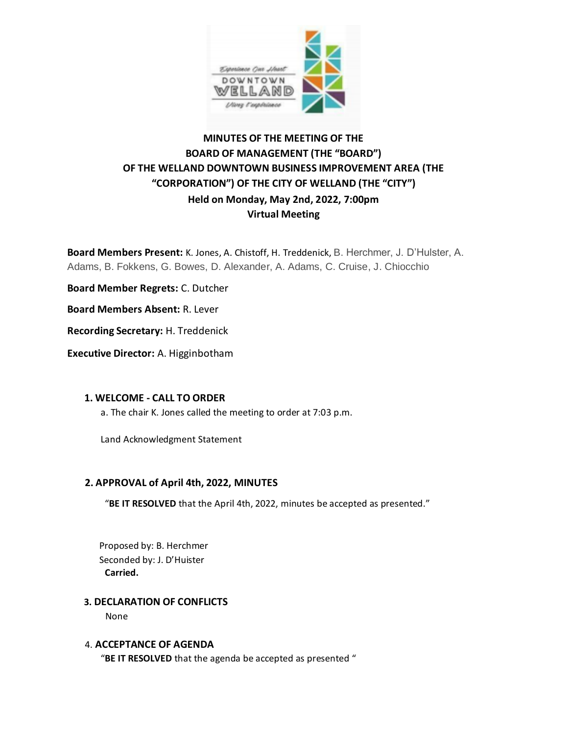

# **MINUTES OF THE MEETING OF THE BOARD OF MANAGEMENT (THE "BOARD") OF THE WELLAND DOWNTOWN BUSINESS IMPROVEMENT AREA (THE "CORPORATION") OF THE CITY OF WELLAND (THE "CITY") Held on Monday, May 2nd, 2022, 7:00pm Virtual Meeting**

**Board Members Present:** K. Jones, A. Chistoff, H. Treddenick, B. Herchmer, J. D'Hulster, A. Adams, B. Fokkens, G. Bowes, D. Alexander, A. Adams, C. Cruise, J. Chiocchio

**Board Member Regrets:** C. Dutcher

**Board Members Absent:** R. Lever

**Recording Secretary:** H. Treddenick

**Executive Director:** A. Higginbotham

#### **1. WELCOME - CALL TO ORDER**

a. The chair K. Jones called the meeting to order at 7:03 p.m.

Land Acknowledgment Statement

#### **2. APPROVAL of April 4th, 2022, MINUTES**

"**BE IT RESOLVED** that the April 4th, 2022, minutes be accepted as presented."

Proposed by: B. Herchmer Seconded by: J. D'Huister **Carried.**

#### **3. DECLARATION OF CONFLICTS**

None

#### 4. **ACCEPTANCE OF AGENDA**

"**BE IT RESOLVED** that the agenda be accepted as presented "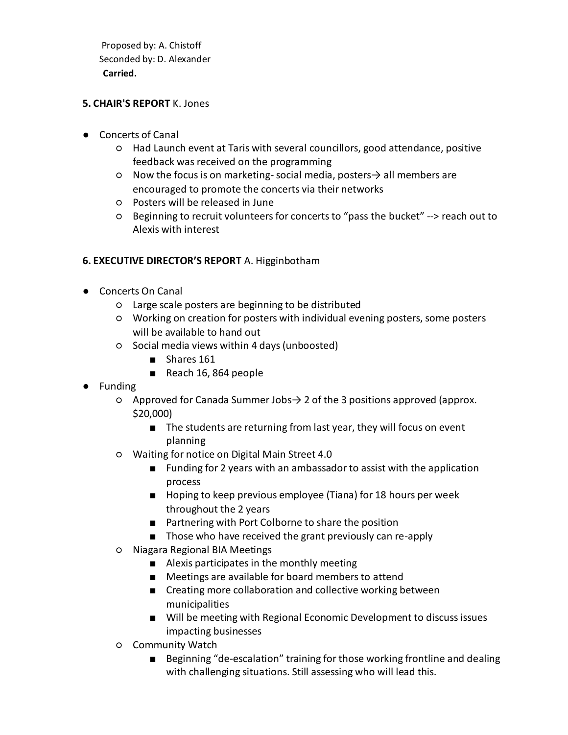Proposed by: A. Chistoff Seconded by: D. Alexander **Carried.** 

#### **5. CHAIR'S REPORT** K. Jones

- Concerts of Canal
	- Had Launch event at Taris with several councillors, good attendance, positive feedback was received on the programming
	- Now the focus is on marketing-social media, posters→ all members are encouraged to promote the concerts via their networks
	- Posters will be released in June
	- Beginning to recruit volunteers for concerts to "pass the bucket" --> reach out to Alexis with interest

## **6. EXECUTIVE DIRECTOR'S REPORT** A. Higginbotham

- Concerts On Canal
	- Large scale posters are beginning to be distributed
	- Working on creation for posters with individual evening posters, some posters will be available to hand out
	- Social media views within 4 days (unboosted)
		- Shares 161
		- Reach 16, 864 people
- Funding
	- Approved for Canada Summer Jobs→ 2 of the 3 positions approved (approx. \$20,000)
		- The students are returning from last year, they will focus on event planning
	- Waiting for notice on Digital Main Street 4.0
		- Funding for 2 years with an ambassador to assist with the application process
		- Hoping to keep previous employee (Tiana) for 18 hours per week throughout the 2 years
		- Partnering with Port Colborne to share the position
		- Those who have received the grant previously can re-apply
	- Niagara Regional BIA Meetings
		- Alexis participates in the monthly meeting
		- Meetings are available for board members to attend
		- Creating more collaboration and collective working between municipalities
		- Will be meeting with Regional Economic Development to discuss issues impacting businesses
	- Community Watch
		- Beginning "de-escalation" training for those working frontline and dealing with challenging situations. Still assessing who will lead this.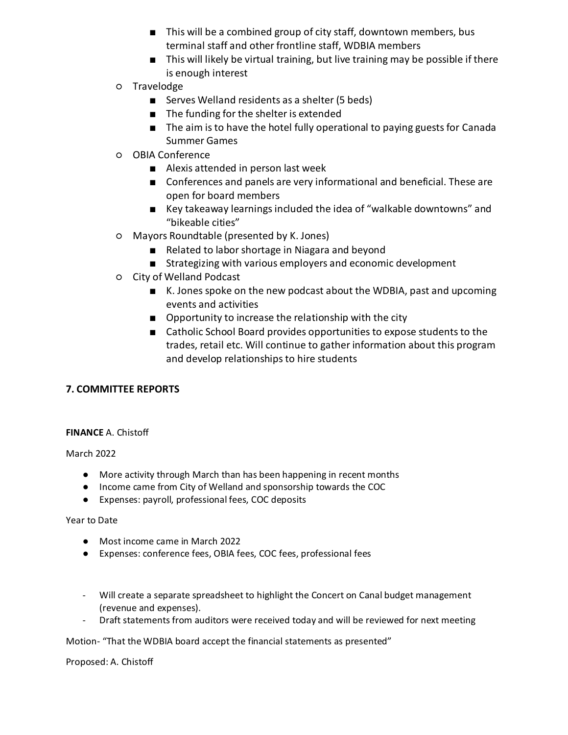- This will be a combined group of city staff, downtown members, bus terminal staff and other frontline staff, WDBIA members
- This will likely be virtual training, but live training may be possible if there is enough interest
- Travelodge
	- Serves Welland residents as a shelter (5 beds)
	- The funding for the shelter is extended
	- The aim is to have the hotel fully operational to paying guests for Canada Summer Games
- OBIA Conference
	- Alexis attended in person last week
	- Conferences and panels are very informational and beneficial. These are open for board members
	- Key takeaway learnings included the idea of "walkable downtowns" and "bikeable cities"
- Mayors Roundtable (presented by K. Jones)
	- Related to labor shortage in Niagara and beyond
	- Strategizing with various employers and economic development
- City of Welland Podcast
	- K. Jones spoke on the new podcast about the WDBIA, past and upcoming events and activities
	- Opportunity to increase the relationship with the city
	- Catholic School Board provides opportunities to expose students to the trades, retail etc. Will continue to gather information about this program and develop relationships to hire students

# **7. COMMITTEE REPORTS**

#### **FINANCE** A. Chistoff

March 2022

- More activity through March than has been happening in recent months
- Income came from City of Welland and sponsorship towards the COC
- Expenses: payroll, professional fees, COC deposits

#### Year to Date

- Most income came in March 2022
- Expenses: conference fees, OBIA fees, COC fees, professional fees
- Will create a separate spreadsheet to highlight the Concert on Canal budget management (revenue and expenses).
- Draft statements from auditors were received today and will be reviewed for next meeting

Motion- "That the WDBIA board accept the financial statements as presented"

Proposed: A. Chistoff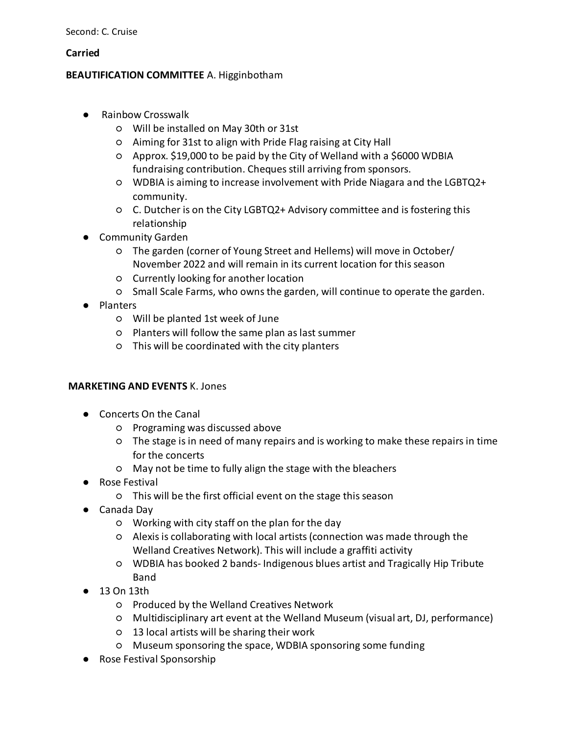#### **Carried**

## **BEAUTIFICATION COMMITTEE** A. Higginbotham

- Rainbow Crosswalk
	- Will be installed on May 30th or 31st
	- Aiming for 31st to align with Pride Flag raising at City Hall
	- Approx. \$19,000 to be paid by the City of Welland with a \$6000 WDBIA fundraising contribution. Cheques still arriving from sponsors.
	- WDBIA is aiming to increase involvement with Pride Niagara and the LGBTQ2+ community.
	- C. Dutcher is on the City LGBTQ2+ Advisory committee and is fostering this relationship
- Community Garden
	- The garden (corner of Young Street and Hellems) will move in October/ November 2022 and will remain in its current location for this season
	- Currently looking for another location
	- Small Scale Farms, who owns the garden, will continue to operate the garden.
- Planters
	- Will be planted 1st week of June
	- Planters will follow the same plan as last summer
	- This will be coordinated with the city planters

# **MARKETING AND EVENTS** K. Jones

- Concerts On the Canal
	- Programing was discussed above
	- The stage is in need of many repairs and is working to make these repairs in time for the concerts
	- May not be time to fully align the stage with the bleachers
- Rose Festival
	- This will be the first official event on the stage this season
- Canada Day
	- Working with city staff on the plan for the day
	- Alexis is collaborating with local artists (connection was made through the Welland Creatives Network). This will include a graffiti activity
	- WDBIA has booked 2 bands- Indigenous blues artist and Tragically Hip Tribute Band
- 13 On 13th
	- Produced by the Welland Creatives Network
	- Multidisciplinary art event at the Welland Museum (visual art, DJ, performance)
	- 13 local artists will be sharing their work
	- Museum sponsoring the space, WDBIA sponsoring some funding
- Rose Festival Sponsorship